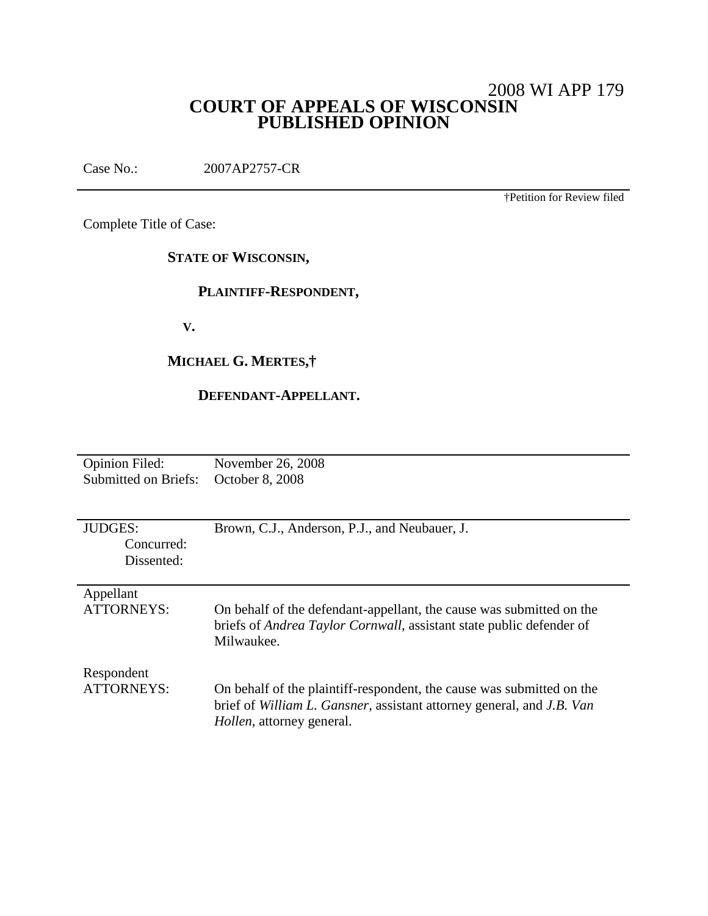# 2008 WI APP 179 **COURT OF APPEALS OF WISCONSIN PUBLISHED OPINION**

Case No.: 2007AP2757-CR

†Petition for Review filed

Complete Title of Case:

**STATE OF WISCONSIN,**

# **PLAINTIFF-RESPONDENT,**

**V.**

# **MICHAEL G. MERTES,†**

# **DEFENDANT-APPELLANT.**

| <b>Opinion Filed:</b>    | November 26, 2008                                                            |
|--------------------------|------------------------------------------------------------------------------|
| Submitted on Briefs:     | October 8, 2008                                                              |
|                          |                                                                              |
|                          |                                                                              |
| <b>JUDGES:</b>           | Brown, C.J., Anderson, P.J., and Neubauer, J.                                |
| Concurred:               |                                                                              |
| Dissented:               |                                                                              |
|                          |                                                                              |
| Appellant                |                                                                              |
| <b>ATTORNEYS:</b>        | On behalf of the defendant-appellant, the cause was submitted on the         |
|                          | briefs of <i>Andrea Taylor Cornwall</i> , assistant state public defender of |
|                          | Milwaukee.                                                                   |
|                          |                                                                              |
| Respondent<br>ATTORNEYS: |                                                                              |
|                          | On behalf of the plaintiff-respondent, the cause was submitted on the        |
|                          | brief of William L. Gansner, assistant attorney general, and J.B. Van        |
|                          | <i>Hollen</i> , attorney general.                                            |
|                          |                                                                              |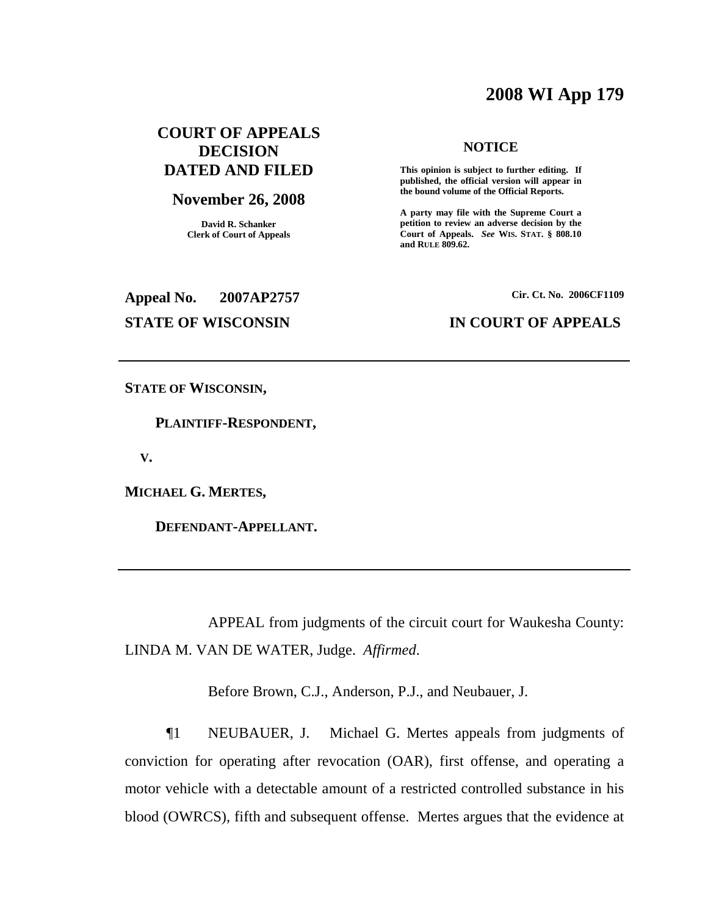# **2008 WI App 179**

# **COURT OF APPEALS DECISION DATED AND FILED**

#### **November 26, 2008**

**David R. Schanker Clerk of Court of Appeals**

#### **NOTICE**

**This opinion is subject to further editing. If published, the official version will appear in the bound volume of the Official Reports.**

**A party may file with the Supreme Court a petition to review an adverse decision by the Court of Appeals.** *See* **WIS. STAT. § 808.10 and RULE 809.62.**

**Appeal No. 2007AP2757**

**Cir. Ct. No. 2006CF1109**

## **STATE OF WISCONSIN IN COURT OF APPEALS**

**STATE OF WISCONSIN,**

**PLAINTIFF-RESPONDENT,**

**V.**

**MICHAEL G. MERTES,**

**DEFENDANT-APPELLANT.**

APPEAL from judgments of the circuit court for Waukesha County: LINDA M. VAN DE WATER, Judge. *Affirmed*.

Before Brown, C.J., Anderson, P.J., and Neubauer, J.

¶1 NEUBAUER, J. Michael G. Mertes appeals from judgments of conviction for operating after revocation (OAR), first offense, and operating a motor vehicle with a detectable amount of a restricted controlled substance in his blood (OWRCS), fifth and subsequent offense. Mertes argues that the evidence at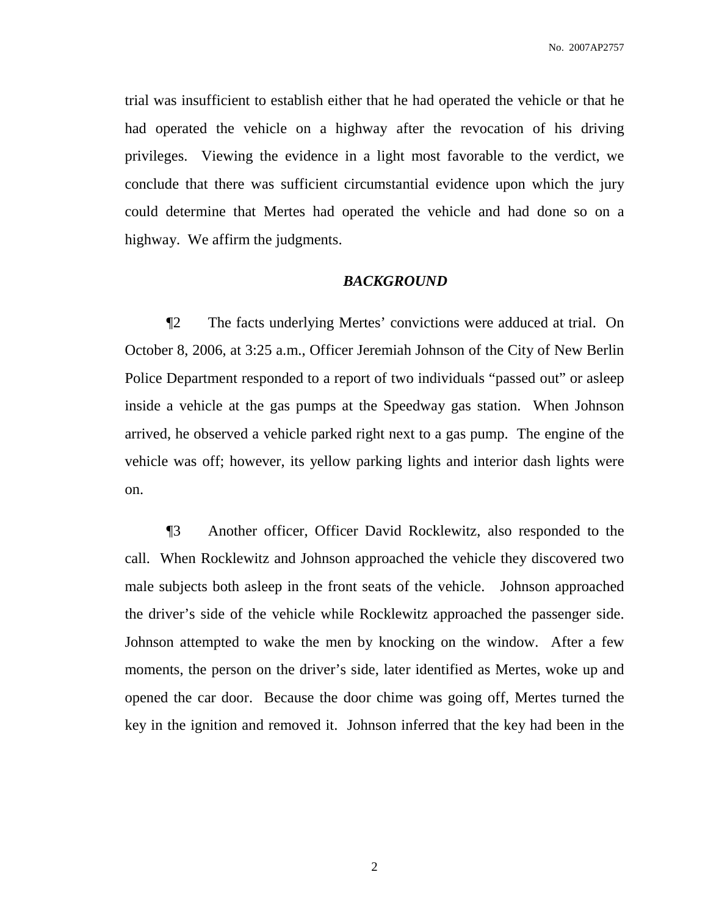trial was insufficient to establish either that he had operated the vehicle or that he had operated the vehicle on a highway after the revocation of his driving privileges. Viewing the evidence in a light most favorable to the verdict, we conclude that there was sufficient circumstantial evidence upon which the jury could determine that Mertes had operated the vehicle and had done so on a highway. We affirm the judgments.

### *BACKGROUND*

¶2 The facts underlying Mertes' convictions were adduced at trial. On October 8, 2006, at 3:25 a.m., Officer Jeremiah Johnson of the City of New Berlin Police Department responded to a report of two individuals "passed out" or asleep inside a vehicle at the gas pumps at the Speedway gas station. When Johnson arrived, he observed a vehicle parked right next to a gas pump. The engine of the vehicle was off; however, its yellow parking lights and interior dash lights were on.

¶3 Another officer, Officer David Rocklewitz, also responded to the call. When Rocklewitz and Johnson approached the vehicle they discovered two male subjects both asleep in the front seats of the vehicle. Johnson approached the driver's side of the vehicle while Rocklewitz approached the passenger side. Johnson attempted to wake the men by knocking on the window. After a few moments, the person on the driver's side, later identified as Mertes, woke up and opened the car door. Because the door chime was going off, Mertes turned the key in the ignition and removed it. Johnson inferred that the key had been in the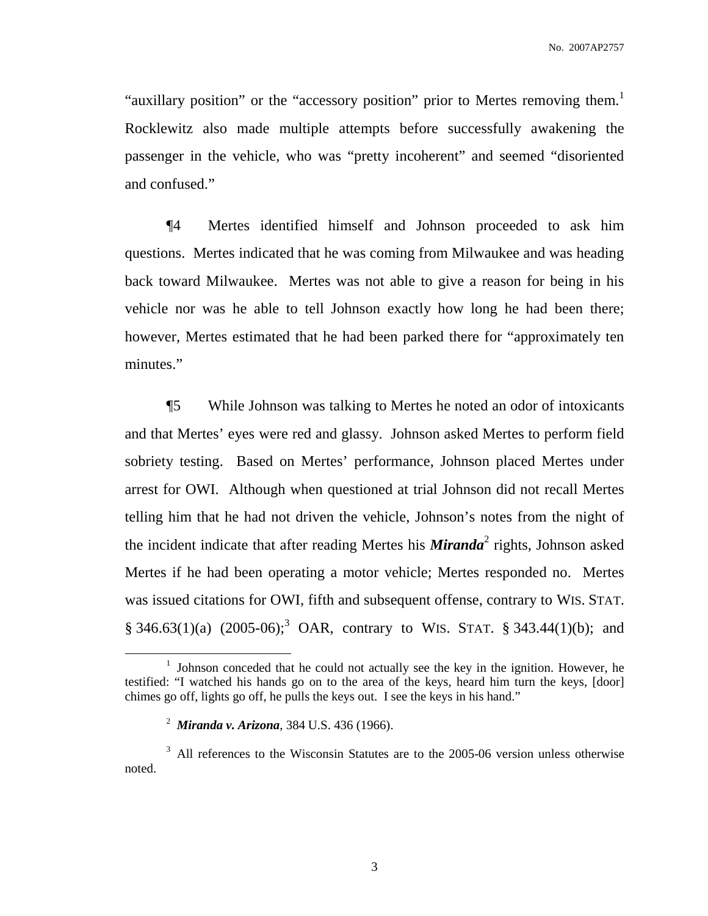"auxillary position" or the "accessory position" prior to Mertes removing them.<sup>1</sup> Rocklewitz also made multiple attempts before successfully awakening the passenger in the vehicle, who was "pretty incoherent" and seemed "disoriented and confused."

¶4 Mertes identified himself and Johnson proceeded to ask him questions. Mertes indicated that he was coming from Milwaukee and was heading back toward Milwaukee. Mertes was not able to give a reason for being in his vehicle nor was he able to tell Johnson exactly how long he had been there; however, Mertes estimated that he had been parked there for "approximately ten minutes."

¶5 While Johnson was talking to Mertes he noted an odor of intoxicants and that Mertes' eyes were red and glassy. Johnson asked Mertes to perform field sobriety testing. Based on Mertes' performance, Johnson placed Mertes under arrest for OWI. Although when questioned at trial Johnson did not recall Mertes telling him that he had not driven the vehicle, Johnson's notes from the night of the incident indicate that after reading Mertes his *Miranda*<sup>2</sup> rights, Johnson asked Mertes if he had been operating a motor vehicle; Mertes responded no. Mertes was issued citations for OWI, fifth and subsequent offense, contrary to WIS. STAT.  $\S$  346.63(1)(a) (2005-06);<sup>3</sup> OAR, contrary to WIS. STAT.  $\S$  343.44(1)(b); and

<sup>&</sup>lt;sup>1</sup> Johnson conceded that he could not actually see the key in the ignition. However, he testified: "I watched his hands go on to the area of the keys, heard him turn the keys, [door] chimes go off, lights go off, he pulls the keys out. I see the keys in his hand."

<sup>2</sup> *Miranda v. Arizona*, 384 U.S. 436 (1966).

<sup>&</sup>lt;sup>3</sup> All references to the Wisconsin Statutes are to the 2005-06 version unless otherwise noted.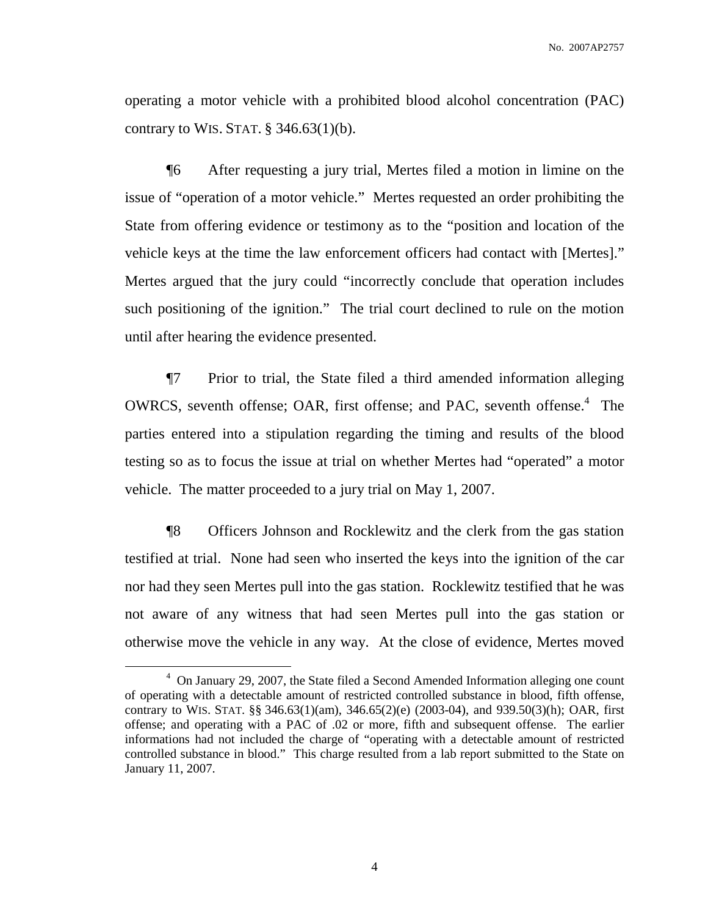operating a motor vehicle with a prohibited blood alcohol concentration (PAC) contrary to WIS. STAT.  $\S$  346.63(1)(b).

¶6 After requesting a jury trial, Mertes filed a motion in limine on the issue of "operation of a motor vehicle." Mertes requested an order prohibiting the State from offering evidence or testimony as to the "position and location of the vehicle keys at the time the law enforcement officers had contact with [Mertes]." Mertes argued that the jury could "incorrectly conclude that operation includes such positioning of the ignition." The trial court declined to rule on the motion until after hearing the evidence presented.

¶7 Prior to trial, the State filed a third amended information alleging OWRCS, seventh offense; OAR, first offense; and PAC, seventh offense.<sup>4</sup> The parties entered into a stipulation regarding the timing and results of the blood testing so as to focus the issue at trial on whether Mertes had "operated" a motor vehicle. The matter proceeded to a jury trial on May 1, 2007.

¶8 Officers Johnson and Rocklewitz and the clerk from the gas station testified at trial. None had seen who inserted the keys into the ignition of the car nor had they seen Mertes pull into the gas station. Rocklewitz testified that he was not aware of any witness that had seen Mertes pull into the gas station or otherwise move the vehicle in any way. At the close of evidence, Mertes moved

<sup>4</sup> On January 29, 2007, the State filed a Second Amended Information alleging one count of operating with a detectable amount of restricted controlled substance in blood, fifth offense, contrary to WIS. STAT. §§ 346.63(1)(am), 346.65(2)(e) (2003-04), and 939.50(3)(h); OAR, first offense; and operating with a PAC of .02 or more, fifth and subsequent offense. The earlier informations had not included the charge of "operating with a detectable amount of restricted controlled substance in blood." This charge resulted from a lab report submitted to the State on January 11, 2007.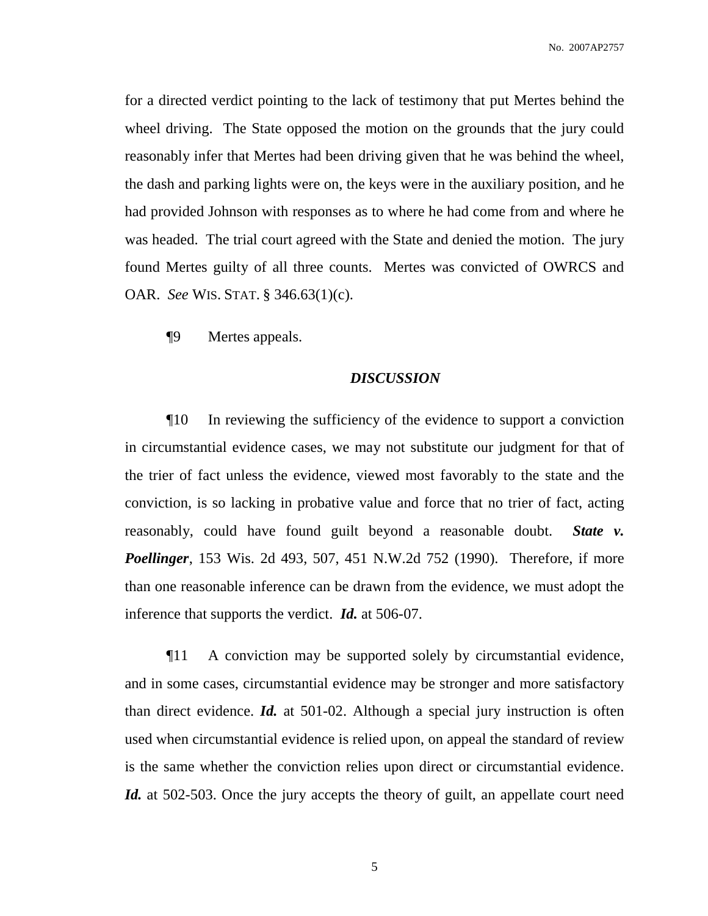for a directed verdict pointing to the lack of testimony that put Mertes behind the wheel driving. The State opposed the motion on the grounds that the jury could reasonably infer that Mertes had been driving given that he was behind the wheel, the dash and parking lights were on, the keys were in the auxiliary position, and he had provided Johnson with responses as to where he had come from and where he was headed. The trial court agreed with the State and denied the motion. The jury found Mertes guilty of all three counts. Mertes was convicted of OWRCS and OAR. *See* WIS. STAT. § 346.63(1)(c).

¶9 Mertes appeals.

#### *DISCUSSION*

¶10 In reviewing the sufficiency of the evidence to support a conviction in circumstantial evidence cases, we may not substitute our judgment for that of the trier of fact unless the evidence, viewed most favorably to the state and the conviction, is so lacking in probative value and force that no trier of fact, acting reasonably, could have found guilt beyond a reasonable doubt. *State v. Poellinger*, 153 Wis. 2d 493, 507, 451 N.W.2d 752 (1990). Therefore, if more than one reasonable inference can be drawn from the evidence, we must adopt the inference that supports the verdict. *Id.* at 506-07.

¶11 A conviction may be supported solely by circumstantial evidence, and in some cases, circumstantial evidence may be stronger and more satisfactory than direct evidence. *Id.* at 501-02. Although a special jury instruction is often used when circumstantial evidence is relied upon, on appeal the standard of review is the same whether the conviction relies upon direct or circumstantial evidence. *Id.* at 502-503. Once the jury accepts the theory of guilt, an appellate court need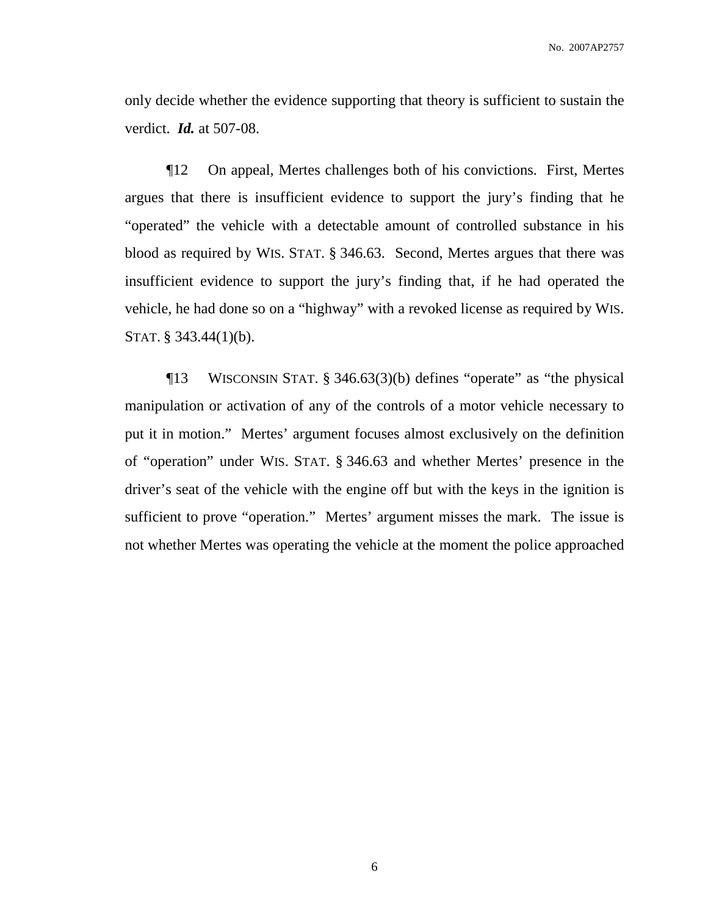only decide whether the evidence supporting that theory is sufficient to sustain the verdict. *Id.* at 507-08.

¶12 On appeal, Mertes challenges both of his convictions. First, Mertes argues that there is insufficient evidence to support the jury's finding that he "operated" the vehicle with a detectable amount of controlled substance in his blood as required by WIS. STAT. § 346.63. Second, Mertes argues that there was insufficient evidence to support the jury's finding that, if he had operated the vehicle, he had done so on a "highway" with a revoked license as required by WIS. STAT. § 343.44(1)(b).

¶13 WISCONSIN STAT. § 346.63(3)(b) defines "operate" as "the physical manipulation or activation of any of the controls of a motor vehicle necessary to put it in motion." Mertes' argument focuses almost exclusively on the definition of "operation" under WIS. STAT. § 346.63 and whether Mertes' presence in the driver's seat of the vehicle with the engine off but with the keys in the ignition is sufficient to prove "operation." Mertes' argument misses the mark. The issue is not whether Mertes was operating the vehicle at the moment the police approached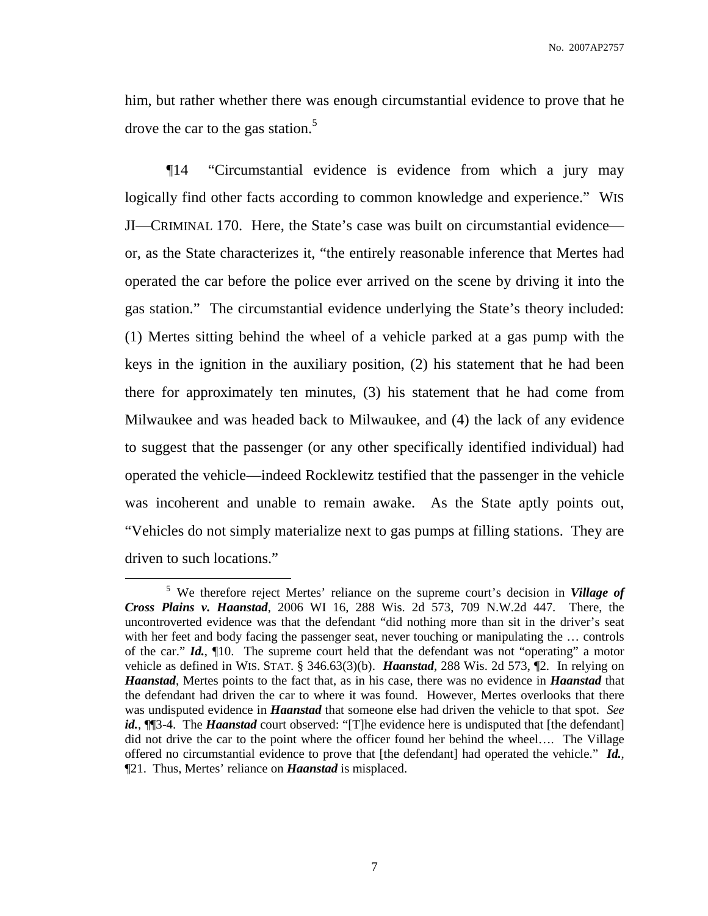him, but rather whether there was enough circumstantial evidence to prove that he drove the car to the gas station. 5

¶14 "Circumstantial evidence is evidence from which a jury may logically find other facts according to common knowledge and experience." WIS JI—CRIMINAL 170. Here, the State's case was built on circumstantial evidence or, as the State characterizes it, "the entirely reasonable inference that Mertes had operated the car before the police ever arrived on the scene by driving it into the gas station." The circumstantial evidence underlying the State's theory included: (1) Mertes sitting behind the wheel of a vehicle parked at a gas pump with the keys in the ignition in the auxiliary position, (2) his statement that he had been there for approximately ten minutes, (3) his statement that he had come from Milwaukee and was headed back to Milwaukee, and (4) the lack of any evidence to suggest that the passenger (or any other specifically identified individual) had operated the vehicle—indeed Rocklewitz testified that the passenger in the vehicle was incoherent and unable to remain awake. As the State aptly points out, "Vehicles do not simply materialize next to gas pumps at filling stations. They are driven to such locations."

<sup>5</sup> We therefore reject Mertes' reliance on the supreme court's decision in *Village of Cross Plains v. Haanstad*, 2006 WI 16, 288 Wis. 2d 573, 709 N.W.2d 447. There, the uncontroverted evidence was that the defendant "did nothing more than sit in the driver's seat with her feet and body facing the passenger seat, never touching or manipulating the ... controls of the car." *Id.*, ¶10. The supreme court held that the defendant was not "operating" a motor vehicle as defined in WIS. STAT. § 346.63(3)(b). *Haanstad*, 288 Wis. 2d 573, ¶2. In relying on *Haanstad*, Mertes points to the fact that, as in his case, there was no evidence in *Haanstad* that the defendant had driven the car to where it was found. However, Mertes overlooks that there was undisputed evidence in *Haanstad* that someone else had driven the vehicle to that spot. *See id.*, **[16**3-4. The *Haanstad* court observed: "[T]he evidence here is undisputed that [the defendant] did not drive the car to the point where the officer found her behind the wheel…. The Village offered no circumstantial evidence to prove that [the defendant] had operated the vehicle." *Id.*, ¶21. Thus, Mertes' reliance on *Haanstad* is misplaced.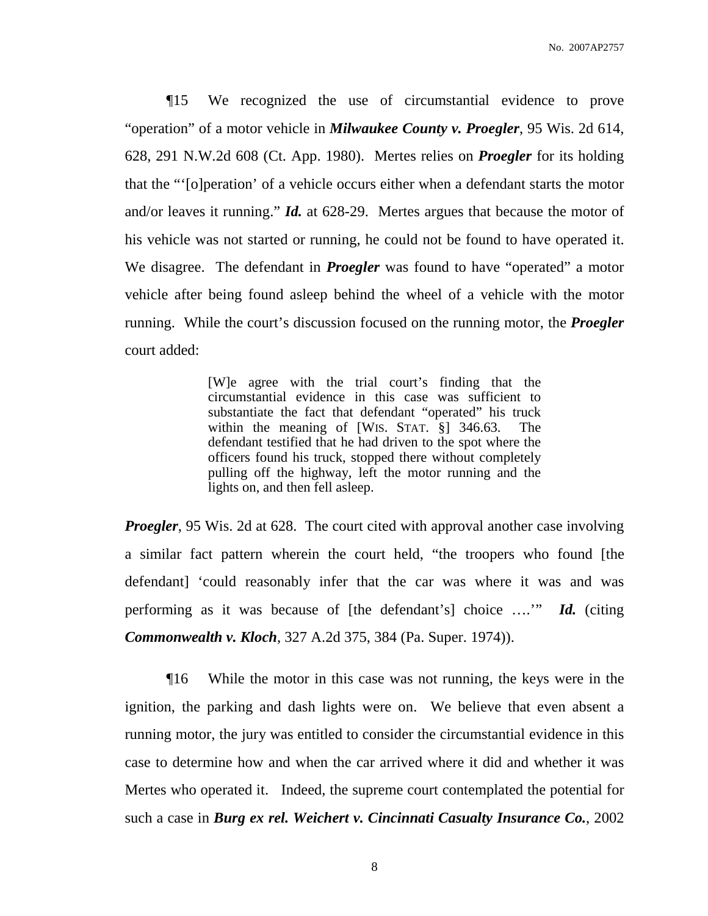¶15 We recognized the use of circumstantial evidence to prove "operation" of a motor vehicle in *Milwaukee County v. Proegler*, 95 Wis. 2d 614, 628, 291 N.W.2d 608 (Ct. App. 1980). Mertes relies on *Proegler* for its holding that the "'[o]peration' of a vehicle occurs either when a defendant starts the motor and/or leaves it running." *Id.* at 628-29. Mertes argues that because the motor of his vehicle was not started or running, he could not be found to have operated it. We disagree. The defendant in *Proegler* was found to have "operated" a motor vehicle after being found asleep behind the wheel of a vehicle with the motor running. While the court's discussion focused on the running motor, the *Proegler* court added:

> [W]e agree with the trial court's finding that the circumstantial evidence in this case was sufficient to substantiate the fact that defendant "operated" his truck within the meaning of [WIS. STAT. §] 346.63. The defendant testified that he had driven to the spot where the officers found his truck, stopped there without completely pulling off the highway, left the motor running and the lights on, and then fell asleep.

*Proegler*, 95 Wis. 2d at 628. The court cited with approval another case involving a similar fact pattern wherein the court held, "the troopers who found [the defendant] 'could reasonably infer that the car was where it was and was performing as it was because of [the defendant's] choice ….'" *Id.* (citing *Commonwealth v. Kloch*, 327 A.2d 375, 384 (Pa. Super. 1974)).

¶16 While the motor in this case was not running, the keys were in the ignition, the parking and dash lights were on. We believe that even absent a running motor, the jury was entitled to consider the circumstantial evidence in this case to determine how and when the car arrived where it did and whether it was Mertes who operated it. Indeed, the supreme court contemplated the potential for such a case in *Burg ex rel. Weichert v. Cincinnati Casualty Insurance Co.*, 2002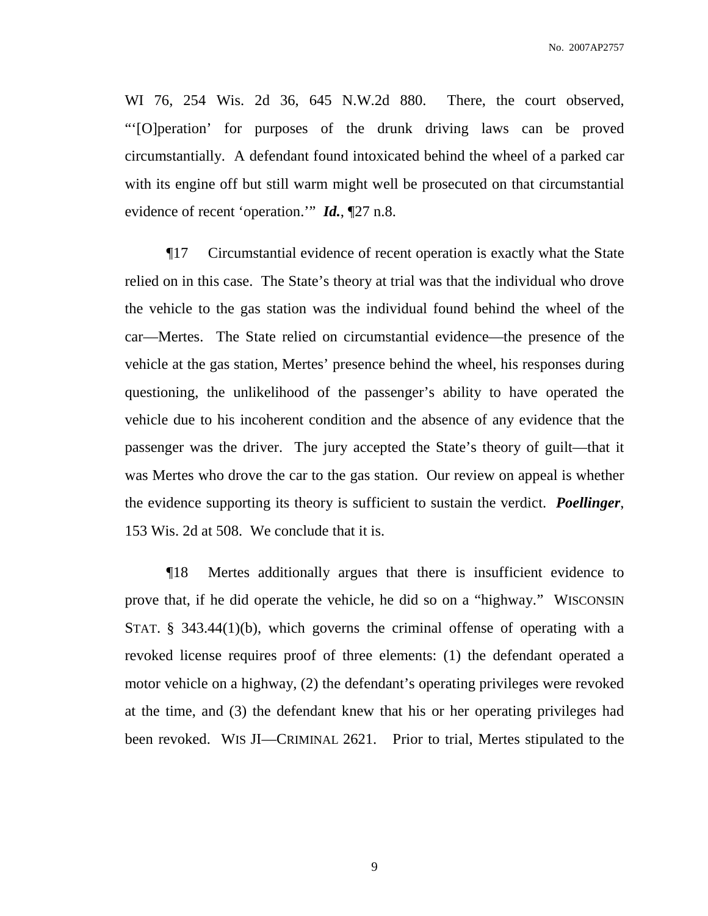WI 76, 254 Wis. 2d 36, 645 N.W.2d 880. There, the court observed, "'[O]peration' for purposes of the drunk driving laws can be proved circumstantially. A defendant found intoxicated behind the wheel of a parked car with its engine off but still warm might well be prosecuted on that circumstantial evidence of recent 'operation.'" *Id.*, ¶27 n.8.

¶17 Circumstantial evidence of recent operation is exactly what the State relied on in this case. The State's theory at trial was that the individual who drove the vehicle to the gas station was the individual found behind the wheel of the car—Mertes. The State relied on circumstantial evidence—the presence of the vehicle at the gas station, Mertes' presence behind the wheel, his responses during questioning, the unlikelihood of the passenger's ability to have operated the vehicle due to his incoherent condition and the absence of any evidence that the passenger was the driver. The jury accepted the State's theory of guilt—that it was Mertes who drove the car to the gas station. Our review on appeal is whether the evidence supporting its theory is sufficient to sustain the verdict. *Poellinger*, 153 Wis. 2d at 508. We conclude that it is.

¶18 Mertes additionally argues that there is insufficient evidence to prove that, if he did operate the vehicle, he did so on a "highway." WISCONSIN STAT. § 343.44(1)(b), which governs the criminal offense of operating with a revoked license requires proof of three elements: (1) the defendant operated a motor vehicle on a highway, (2) the defendant's operating privileges were revoked at the time, and (3) the defendant knew that his or her operating privileges had been revoked. WIS JI—CRIMINAL 2621. Prior to trial, Mertes stipulated to the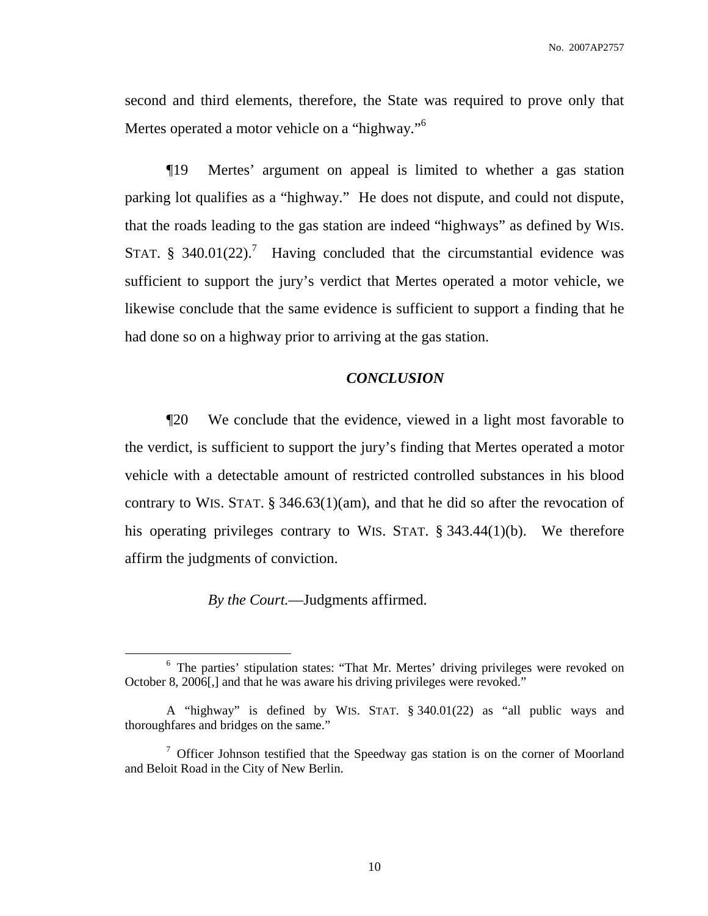second and third elements, therefore, the State was required to prove only that Mertes operated a motor vehicle on a "highway."<sup>6</sup>

¶19 Mertes' argument on appeal is limited to whether a gas station parking lot qualifies as a "highway." He does not dispute, and could not dispute, that the roads leading to the gas station are indeed "highways" as defined by WIS. STAT. § 340.01(22).<sup>7</sup> Having concluded that the circumstantial evidence was sufficient to support the jury's verdict that Mertes operated a motor vehicle, we likewise conclude that the same evidence is sufficient to support a finding that he had done so on a highway prior to arriving at the gas station.

# *CONCLUSION*

¶20 We conclude that the evidence, viewed in a light most favorable to the verdict, is sufficient to support the jury's finding that Mertes operated a motor vehicle with a detectable amount of restricted controlled substances in his blood contrary to WIS. STAT. § 346.63(1)(am), and that he did so after the revocation of his operating privileges contrary to WIS. STAT. § 343.44(1)(b). We therefore affirm the judgments of conviction.

*By the Court.*—Judgments affirmed.

<sup>&</sup>lt;sup>6</sup> The parties' stipulation states: "That Mr. Mertes' driving privileges were revoked on October 8, 2006[,] and that he was aware his driving privileges were revoked."

A "highway" is defined by WIS. STAT. § 340.01(22) as "all public ways and thoroughfares and bridges on the same."

<sup>7</sup> Officer Johnson testified that the Speedway gas station is on the corner of Moorland and Beloit Road in the City of New Berlin.